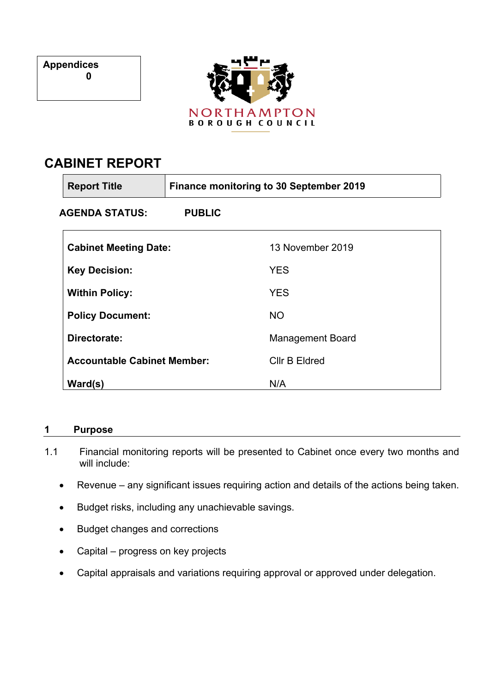**Appendices 0**



# **CABINET REPORT**

| <b>Report Title</b>                | <b>Finance monitoring to 30 September 2019</b> |                         |  |
|------------------------------------|------------------------------------------------|-------------------------|--|
| AGENDA STATUS:                     | <b>PUBLIC</b>                                  |                         |  |
| <b>Cabinet Meeting Date:</b>       |                                                | 13 November 2019        |  |
| <b>Key Decision:</b>               |                                                | <b>YES</b>              |  |
| <b>Within Policy:</b>              |                                                | <b>YES</b>              |  |
| <b>Policy Document:</b>            |                                                | <b>NO</b>               |  |
| Directorate:                       |                                                | <b>Management Board</b> |  |
| <b>Accountable Cabinet Member:</b> |                                                | Cllr B Eldred           |  |
| Ward(s)                            |                                                | N/A                     |  |

# **1 Purpose**

- 1.1 Financial monitoring reports will be presented to Cabinet once every two months and will include:
	- Revenue any significant issues requiring action and details of the actions being taken.
	- Budget risks, including any unachievable savings.
	- Budget changes and corrections
	- Capital progress on key projects
	- Capital appraisals and variations requiring approval or approved under delegation.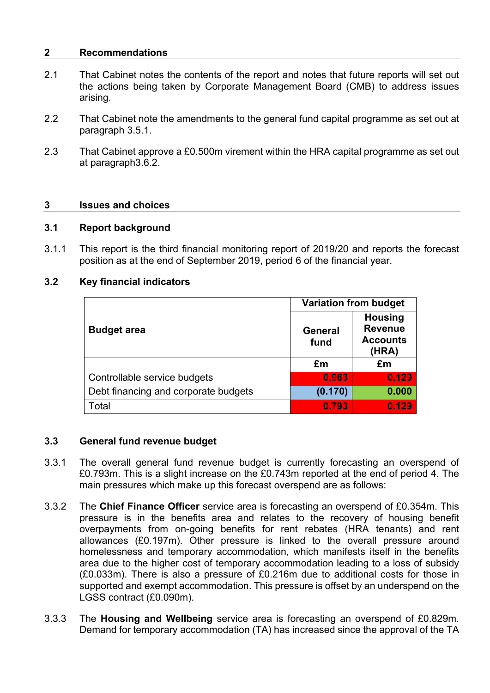#### **2 Recommendations**

- 2.1 That Cabinet notes the contents of the report and notes that future reports will set out the actions being taken by Corporate Management Board (CMB) to address issues arising.
- 2.2 That Cabinet note the amendments to the general fund capital programme as set out at paragraph 3.5.1.
- 2.3 That Cabinet approve a £0.500m virement within the HRA capital programme as set out at paragraph3.6.2.

#### **3 Issues and choices**

#### **3.1 Report background**

3.1.1 This report is the third financial monitoring report of 2019/20 and reports the forecast position as at the end of September 2019, period 6 of the financial year.

#### **3.2 Key financial indicators**

|                                      | <b>Variation from budget</b> |                                                              |
|--------------------------------------|------------------------------|--------------------------------------------------------------|
| <b>Budget area</b>                   | General<br>fund              | <b>Housing</b><br><b>Revenue</b><br><b>Accounts</b><br>(HRA) |
|                                      | £m                           | £m                                                           |
| Controllable service budgets         | 0.963                        | 0.129                                                        |
| Debt financing and corporate budgets | (0.170)                      | 0.000                                                        |
| Total                                | 0.793                        | 0.129                                                        |

#### **3.3 General fund revenue budget**

- 3.3.1 The overall general fund revenue budget is currently forecasting an overspend of £0.793m. This is a slight increase on the £0.743m reported at the end of period 4. The main pressures which make up this forecast overspend are as follows:
- 3.3.2 The **Chief Finance Officer** service area is forecasting an overspend of £0.354m. This pressure is in the benefits area and relates to the recovery of housing benefit overpayments from on-going benefits for rent rebates (HRA tenants) and rent allowances (£0.197m). Other pressure is linked to the overall pressure around homelessness and temporary accommodation, which manifests itself in the benefits area due to the higher cost of temporary accommodation leading to a loss of subsidy (£0.033m). There is also a pressure of £0.216m due to additional costs for those in supported and exempt accommodation. This pressure is offset by an underspend on the LGSS contract (£0.090m).
- 3.3.3 The **Housing and Wellbeing** service area is forecasting an overspend of £0.829m. Demand for temporary accommodation (TA) has increased since the approval of the TA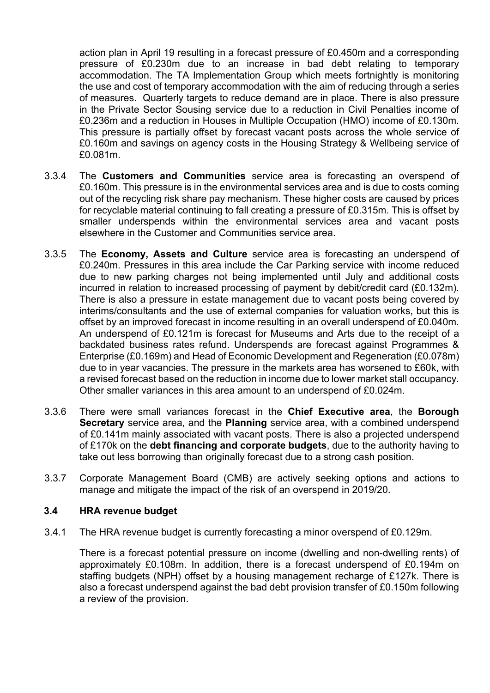action plan in April 19 resulting in a forecast pressure of £0.450m and a corresponding pressure of £0.230m due to an increase in bad debt relating to temporary accommodation. The TA Implementation Group which meets fortnightly is monitoring the use and cost of temporary accommodation with the aim of reducing through a series of measures. Quarterly targets to reduce demand are in place. There is also pressure in the Private Sector Sousing service due to a reduction in Civil Penalties income of £0.236m and a reduction in Houses in Multiple Occupation (HMO) income of £0.130m. This pressure is partially offset by forecast vacant posts across the whole service of £0.160m and savings on agency costs in the Housing Strategy & Wellbeing service of £0.081m.

- 3.3.4 The **Customers and Communities** service area is forecasting an overspend of £0.160m. This pressure is in the environmental services area and is due to costs coming out of the recycling risk share pay mechanism. These higher costs are caused by prices for recyclable material continuing to fall creating a pressure of £0.315m. This is offset by smaller underspends within the environmental services area and vacant posts elsewhere in the Customer and Communities service area.
- 3.3.5 The **Economy, Assets and Culture** service area is forecasting an underspend of £0.240m. Pressures in this area include the Car Parking service with income reduced due to new parking charges not being implemented until July and additional costs incurred in relation to increased processing of payment by debit/credit card (£0.132m). There is also a pressure in estate management due to vacant posts being covered by interims/consultants and the use of external companies for valuation works, but this is offset by an improved forecast in income resulting in an overall underspend of £0.040m. An underspend of £0.121m is forecast for Museums and Arts due to the receipt of a backdated business rates refund. Underspends are forecast against Programmes & Enterprise (£0.169m) and Head of Economic Development and Regeneration (£0.078m) due to in year vacancies. The pressure in the markets area has worsened to £60k, with a revised forecast based on the reduction in income due to lower market stall occupancy. Other smaller variances in this area amount to an underspend of £0.024m.
- 3.3.6 There were small variances forecast in the **Chief Executive area**, the **Borough Secretary** service area, and the **Planning** service area, with a combined underspend of £0.141m mainly associated with vacant posts. There is also a projected underspend of £170k on the **debt financing and corporate budgets**, due to the authority having to take out less borrowing than originally forecast due to a strong cash position.
- 3.3.7 Corporate Management Board (CMB) are actively seeking options and actions to manage and mitigate the impact of the risk of an overspend in 2019/20.

#### **3.4 HRA revenue budget**

3.4.1 The HRA revenue budget is currently forecasting a minor overspend of £0.129m.

There is a forecast potential pressure on income (dwelling and non-dwelling rents) of approximately £0.108m. In addition, there is a forecast underspend of £0.194m on staffing budgets (NPH) offset by a housing management recharge of £127k. There is also a forecast underspend against the bad debt provision transfer of £0.150m following a review of the provision.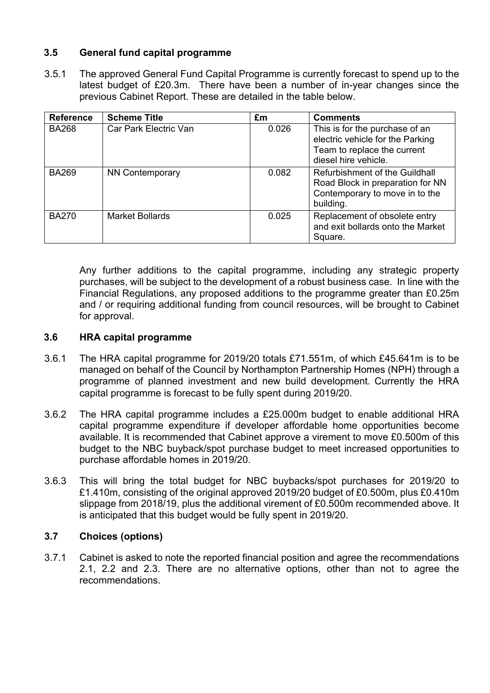# **3.5 General fund capital programme**

3.5.1 The approved General Fund Capital Programme is currently forecast to spend up to the latest budget of £20.3m. There have been a number of in-year changes since the previous Cabinet Report. These are detailed in the table below.

| <b>Reference</b> | <b>Scheme Title</b>    | Em    | <b>Comments</b>                                                                                                           |
|------------------|------------------------|-------|---------------------------------------------------------------------------------------------------------------------------|
| <b>BA268</b>     | Car Park Electric Van  | 0.026 | This is for the purchase of an<br>electric vehicle for the Parking<br>Team to replace the current<br>diesel hire vehicle. |
| <b>BA269</b>     | <b>NN Contemporary</b> | 0.082 | Refurbishment of the Guildhall<br>Road Block in preparation for NN<br>Contemporary to move in to the<br>building.         |
| <b>BA270</b>     | <b>Market Bollards</b> | 0.025 | Replacement of obsolete entry<br>and exit bollards onto the Market<br>Square.                                             |

Any further additions to the capital programme, including any strategic property purchases, will be subject to the development of a robust business case. In line with the Financial Regulations, any proposed additions to the programme greater than £0.25m and / or requiring additional funding from council resources, will be brought to Cabinet for approval.

#### **3.6 HRA capital programme**

- 3.6.1 The HRA capital programme for 2019/20 totals £71.551m, of which £45.641m is to be managed on behalf of the Council by Northampton Partnership Homes (NPH) through a programme of planned investment and new build development. Currently the HRA capital programme is forecast to be fully spent during 2019/20.
- 3.6.2 The HRA capital programme includes a £25.000m budget to enable additional HRA capital programme expenditure if developer affordable home opportunities become available. It is recommended that Cabinet approve a virement to move £0.500m of this budget to the NBC buyback/spot purchase budget to meet increased opportunities to purchase affordable homes in 2019/20.
- 3.6.3 This will bring the total budget for NBC buybacks/spot purchases for 2019/20 to £1.410m, consisting of the original approved 2019/20 budget of £0.500m, plus £0.410m slippage from 2018/19, plus the additional virement of £0.500m recommended above. It is anticipated that this budget would be fully spent in 2019/20.

#### **3.7 Choices (options)**

3.7.1 Cabinet is asked to note the reported financial position and agree the recommendations 2.1, 2.2 and 2.3. There are no alternative options, other than not to agree the recommendations.